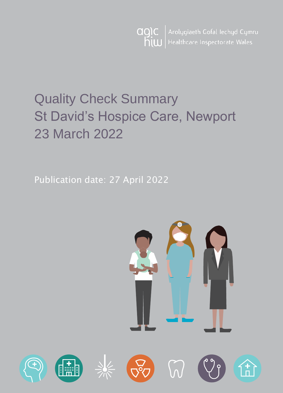Arolygiaeth Gofal Iechyd Cymru agic hiw Healthcare Inspectorate Wales

# Quality Check Summary St David's Hospice Care, Newport 23 March 2022

Publication date: 27 April 2022

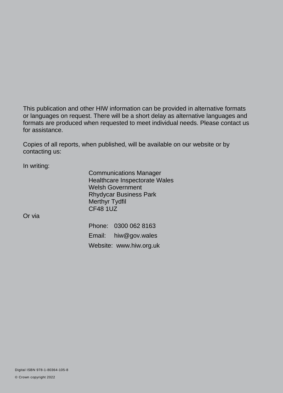This publication and other HIW information can be provided in alternative formats or languages on request. There will be a short delay as alternative languages and formats are produced when requested to meet individual needs. Please contact us for assistance.

Copies of all reports, when published, will be available on our website or by contacting us:

In writing:

Communications Manager Healthcare Inspectorate Wales Welsh Government Rhydycar Business Park Merthyr Tydfil CF48 1UZ

Or via

Phone: 0300 062 8163 Email: [hiw@gov.wales](mailto:hiw@gov.wales) Website: [www.hiw.org.uk](http://www.hiw.org.uk/)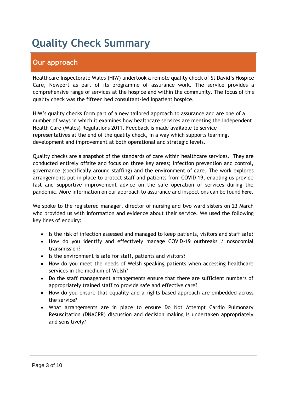## **Quality Check Summary**

## **Our approach**

Healthcare Inspectorate Wales (HIW) undertook a remote quality check of St David's Hospice Care, Newport as part of its programme of assurance work. The service provides a comprehensive range of services at the hospice and within the community. The focus of this quality check was the fifteen bed consultant-led inpatient hospice.

HIW's quality checks form part of a new tailored approach to assurance and are one of a number of ways in which it examines how healthcare services are meeting the Independent Health Care (Wales) Regulations 2011. Feedback is made available to service representatives at the end of the quality check, in a way which supports learning, development and improvement at both operational and strategic levels.

Quality checks are a snapshot of the standards of care within healthcare services. They are conducted entirely offsite and focus on three key areas; infection prevention and control, governance (specifically around staffing) and the environment of care. The work explores arrangements put in place to protect staff and patients from COVID 19, enabling us provide fast and supportive improvement advice on the safe operation of services during the pandemic. More information on our approach to assurance and inspections can be found [here](https://hiw.org.uk/covid-19-response-and-our-approach-assurance-and-inspection).

We spoke to the registered manager, director of nursing and two ward sisters on 23 March who provided us with information and evidence about their service. We used the following key lines of enquiry:

- Is the risk of infection assessed and managed to keep patients, visitors and staff safe?
- How do you identify and effectively manage COVID-19 outbreaks / nosocomial transmission?
- Is the environment is safe for staff, patients and visitors?
- How do you meet the needs of Welsh speaking patients when accessing healthcare services in the medium of Welsh?
- Do the staff management arrangements ensure that there are sufficient numbers of appropriately trained staff to provide safe and effective care?
- How do you ensure that equality and a rights based approach are embedded across the service?
- What arrangements are in place to ensure Do Not Attempt Cardio Pulmonary Resuscitation (DNACPR) discussion and decision making is undertaken appropriately and sensitively?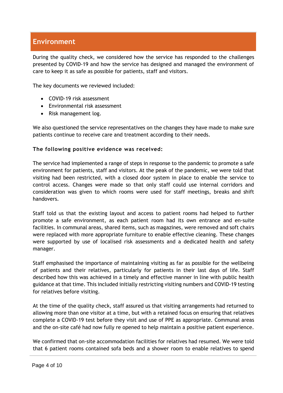### **Environment**

During the quality check, we considered how the service has responded to the challenges presented by COVID-19 and how the service has designed and managed the environment of care to keep it as safe as possible for patients, staff and visitors.

The key documents we reviewed included:

- COVID-19 risk assessment
- Environmental risk assessment
- Risk management log.

We also questioned the service representatives on the changes they have made to make sure patients continue to receive care and treatment according to their needs.

#### **The following positive evidence was received:**

The service had implemented a range of steps in response to the pandemic to promote a safe environment for patients, staff and visitors. At the peak of the pandemic, we were told that visiting had been restricted, with a closed door system in place to enable the service to control access. Changes were made so that only staff could use internal corridors and consideration was given to which rooms were used for staff meetings, breaks and shift handovers.

Staff told us that the existing layout and access to patient rooms had helped to further promote a safe environment, as each patient room had its own entrance and en-suite facilities. In communal areas, shared items, such as magazines, were removed and soft chairs were replaced with more appropriate furniture to enable effective cleaning. These changes were supported by use of localised risk assessments and a dedicated health and safety manager.

Staff emphasised the importance of maintaining visiting as far as possible for the wellbeing of patients and their relatives, particularly for patients in their last days of life. Staff described how this was achieved in a timely and effective manner in line with public health guidance at that time. This included initially restricting visiting numbers and COVID-19 testing for relatives before visiting.

At the time of the quality check, staff assured us that visiting arrangements had returned to allowing more than one visitor at a time, but with a retained focus on ensuring that relatives complete a COVID-19 test before they visit and use of PPE as appropriate. Communal areas and the on-site café had now fully re opened to help maintain a positive patient experience.

We confirmed that on-site accommodation facilities for relatives had resumed. We were told that 6 patient rooms contained sofa beds and a shower room to enable relatives to spend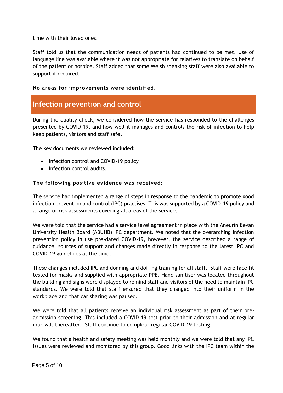time with their loved ones.

Staff told us that the communication needs of patients had continued to be met. Use of language line was available where it was not appropriate for relatives to translate on behalf of the patient or hospice. Staff added that some Welsh speaking staff were also available to support if required.

#### **No areas for improvements were identified.**

### **Infection prevention and control**

During the quality check, we considered how the service has responded to the challenges presented by COVID-19, and how well it manages and controls the risk of infection to help keep patients, visitors and staff safe.

The key documents we reviewed included:

- Infection control and COVID-19 policy
- Infection control audits.

#### **The following positive evidence was received:**

The service had implemented a range of steps in response to the pandemic to promote good infection prevention and control (IPC) practises. This was supported by a COVID-19 policy and a range of risk assessments covering all areas of the service.

We were told that the service had a service level agreement in place with the Aneurin Bevan University Health Board (ABUHB) IPC department. We noted that the overarching infection prevention policy in use pre-dated COVID-19, however, the service described a range of guidance, sources of support and changes made directly in response to the latest IPC and COVID-19 guidelines at the time.

These changes included IPC and donning and doffing training for all staff. Staff were face fit tested for masks and supplied with appropriate PPE. Hand sanitiser was located throughout the building and signs were displayed to remind staff and visitors of the need to maintain IPC standards. We were told that staff ensured that they changed into their uniform in the workplace and that car sharing was paused.

We were told that all patients receive an individual risk assessment as part of their preadmission screening. This included a COVID-19 test prior to their admission and at regular intervals thereafter. Staff continue to complete regular COVID-19 testing.

We found that a health and safety meeting was held monthly and we were told that any IPC issues were reviewed and monitored by this group. Good links with the IPC team within the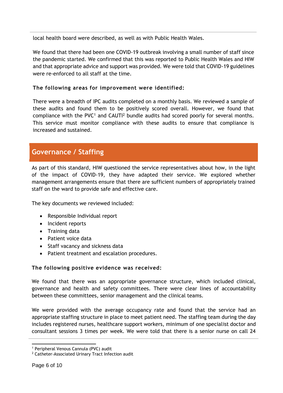local health board were described, as well as with Public Health Wales.

We found that there had been one COVID-19 outbreak involving a small number of staff since the pandemic started. We confirmed that this was reported to Public Health Wales and HIW and that appropriate advice and support was provided. We were told that COVID-19 guidelines were re-enforced to all staff at the time.

#### **The following areas for improvement were identified:**

There were a breadth of IPC audits completed on a monthly basis. We reviewed a sample of these audits and found them to be positively scored overall. However, we found that compliance with the PVC<sup>1</sup> and CAUTI<sup>2</sup> bundle audits had scored poorly for several months. This service must monitor compliance with these audits to ensure that compliance is increased and sustained.

### **Governance / Staffing**

As part of this standard, HIW questioned the service representatives about how, in the light of the impact of COVID-19, they have adapted their service. We explored whether management arrangements ensure that there are sufficient numbers of appropriately trained staff on the ward to provide safe and effective care.

The key documents we reviewed included:

- Responsible Individual report
- Incident reports
- Training data
- Patient voice data
- Staff vacancy and sickness data
- Patient treatment and escalation procedures.

#### **The following positive evidence was received:**

We found that there was an appropriate governance structure, which included clinical, governance and health and safety committees. There were clear lines of accountability between these committees, senior management and the clinical teams.

We were provided with the average occupancy rate and found that the service had an appropriate staffing structure in place to meet patient need. The staffing team during the day includes registered nurses, healthcare support workers, minimum of one specialist doctor and consultant sessions 3 times per week. We were told that there is a senior nurse on call 24

 <sup>1</sup> Peripheral Venous Cannula (PVC) audit

<sup>&</sup>lt;sup>2</sup> Catheter-Associated Urinary Tract Infection audit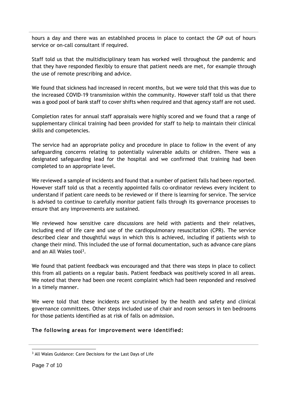hours a day and there was an established process in place to contact the GP out of hours service or on-call consultant if required.

Staff told us that the multidisciplinary team has worked well throughout the pandemic and that they have responded flexibly to ensure that patient needs are met, for example through the use of remote prescribing and advice.

We found that sickness had increased in recent months, but we were told that this was due to the increased COVID-19 transmission within the community. However staff told us that there was a good pool of bank staff to cover shifts when required and that agency staff are not used.

Completion rates for annual staff appraisals were highly scored and we found that a range of supplementary clinical training had been provided for staff to help to maintain their clinical skills and competencies.

The service had an appropriate policy and procedure in place to follow in the event of any safeguarding concerns relating to potentially vulnerable adults or children. There was a designated safeguarding lead for the hospital and we confirmed that training had been completed to an appropriate level.

We reviewed a sample of incidents and found that a number of patient falls had been reported. However staff told us that a recently appointed falls co-ordinator reviews every incident to understand if patient care needs to be reviewed or if there is learning for service. The service is advised to continue to carefully monitor patient falls through its governance processes to ensure that any improvements are sustained.

We reviewed how sensitive care discussions are held with patients and their relatives, including end of life care and use of the cardiopulmonary resuscitation (CPR). The service described clear and thoughtful ways in which this is achieved, including if patients wish to change their mind. This included the use of formal documentation, such as advance care plans and an All Wales tool<sup>3</sup>.

We found that patient feedback was encouraged and that there was steps in place to collect this from all patients on a regular basis. Patient feedback was positively scored in all areas. We noted that there had been one recent complaint which had been responded and resolved in a timely manner.

We were told that these incidents are scrutinised by the health and safety and clinical governance committees. Other steps included use of chair and room sensors in ten bedrooms for those patients identified as at risk of falls on admission.

#### **The following areas for improvement were identified:**

 $\overline{a}$ <sup>3</sup> All Wales Guidance: Care Decisions for the Last Days of Life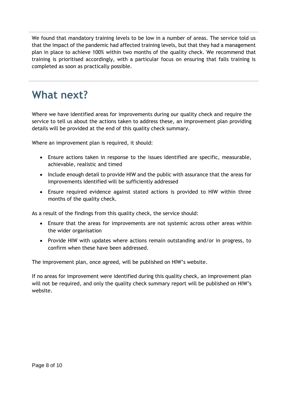We found that mandatory training levels to be low in a number of areas. The service told us that the impact of the pandemic had affected training levels, but that they had a management plan in place to achieve 100% within two months of the quality check. We recommend that training is prioritised accordingly, with a particular focus on ensuring that falls training is completed as soon as practically possible.

## **What next?**

Where we have identified areas for improvements during our quality check and require the service to tell us about the actions taken to address these, an improvement plan providing details will be provided at the end of this quality check summary.

Where an improvement plan is required, it should:

- Ensure actions taken in response to the issues identified are specific, measurable, achievable, realistic and timed
- Include enough detail to provide HIW and the public with assurance that the areas for improvements identified will be sufficiently addressed
- Ensure required evidence against stated actions is provided to HIW within three months of the quality check.

As a result of the findings from this quality check, the service should:

- Ensure that the areas for improvements are not systemic across other areas within the wider organisation
- Provide HIW with updates where actions remain outstanding and/or in progress, to confirm when these have been addressed.

The improvement plan, once agreed, will be published on HIW's website.

If no areas for improvement were identified during this quality check, an improvement plan will not be required, and only the quality check summary report will be published on HIW's website.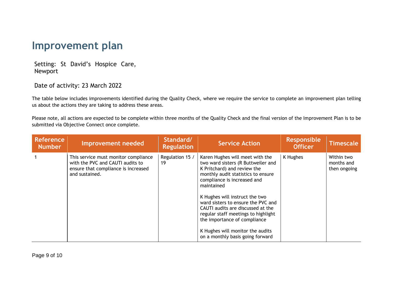## **Improvement plan**

Setting: St David's Hospice Care, Newport

Date of activity: 23 March 2022

The table below includes improvements identified during the Quality Check, where we require the service to complete an improvement plan telling us about the actions they are taking to address these areas.

Please note, all actions are expected to be complete within three months of the Quality Check and the final version of the Improvement Plan is to be submitted via Objective Connect once complete.

| <b>Reference</b><br><b>Number</b> | Improvement needed                                                                                                                | Standard/<br><b>Regulation</b> | <b>Service Action</b>                                                                                                                                                                                                                                                                                                                                                                                                                               | <b>Responsible</b><br><b>Officer</b> | Timescale                                |
|-----------------------------------|-----------------------------------------------------------------------------------------------------------------------------------|--------------------------------|-----------------------------------------------------------------------------------------------------------------------------------------------------------------------------------------------------------------------------------------------------------------------------------------------------------------------------------------------------------------------------------------------------------------------------------------------------|--------------------------------------|------------------------------------------|
|                                   | This service must monitor compliance<br>with the PVC and CAUTI audits to<br>ensure that compliance is increased<br>and sustained. | Regulation 15 /<br>19          | Karen Hughes will meet with the<br>two ward sisters (R Buttweiler and<br>K Pritchard) and review the<br>monthly audit statistics to ensure<br>compliance is increased and<br>maintained<br>K Hughes will instruct the two<br>ward sisters to ensure the PVC and<br>CAUTI audits are discussed at the<br>regular staff meetings to highlight<br>the importance of compliance<br>K Hughes will monitor the audits<br>on a monthly basis going forward | K Hughes                             | Within two<br>months and<br>then ongoing |